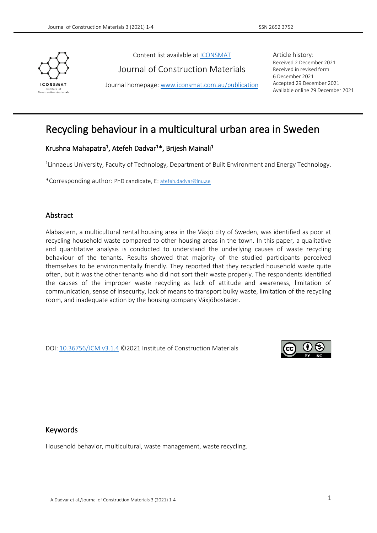

Content list available at [ICONSMAT](http://www.iconsmat.com.au/)

Journal of Construction Materials

Journal homepage[: www.iconsmat.com.au/publication](http://www.iconsmat.com.au/publication)

Article history: Received 2 December 2021 Received in revised form 6 December 2021 Accepted 29 December 2021 Available online 29 December 2021

# Recycling behaviour in a multicultural urban area in Sweden

## Krushna Mahapatra<sup>1</sup>, Atefeh Dadvar<sup>1\*</sup>, Brijesh Mainali<sup>1</sup>

<sup>1</sup>Linnaeus University, Faculty of Technology, Department of Built Environment and Energy Technology.

\*Corresponding author: PhD candidate, E: [atefeh.dadvar@lnu.se](mailto:atefeh.dadvar@lnu.se)

## Abstract

Alabastern, a multicultural rental housing area in the Växjö city of Sweden, was identified as poor at recycling household waste compared to other housing areas in the town. In this paper, a qualitative and quantitative analysis is conducted to understand the underlying causes of waste recycling behaviour of the tenants. Results showed that majority of the studied participants perceived themselves to be environmentally friendly. They reported that they recycled household waste quite often, but it was the other tenants who did not sort their waste properly. The respondents identified the causes of the improper waste recycling as lack of attitude and awareness, limitation of communication, sense of insecurity, lack of means to transport bulky waste, limitation of the recycling room, and inadequate action by the housing company Växjöbostäder.

DOI: [10.36756/JCM.v3.1.4](https://doi.org/10.36756/JCM.v3.1.4) ©2021 Institute of Construction Materials



#### Keywords

Household behavior, multicultural, waste management, waste recycling.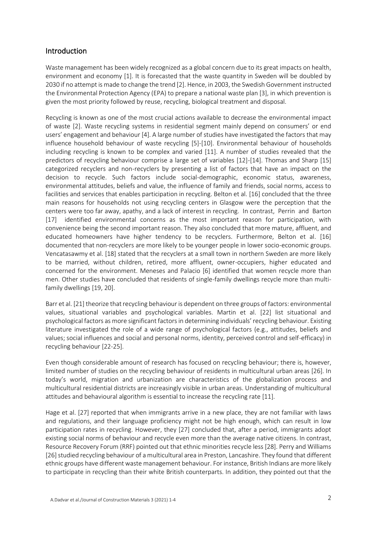## Introduction

Waste management has been widely recognized as a global concern due to its great impacts on health, environment and economy [1]. It is forecasted that the waste quantity in Sweden will be doubled by 2030 if no attempt is made to change the trend [2]. Hence, in 2003, the Swedish Government instructed the Environmental Protection Agency (EPA) to prepare a national waste plan [3], in which prevention is given the most priority followed by reuse, recycling, biological treatment and disposal.

Recycling is known as one of the most crucial actions available to decrease the environmental impact of waste [2]. Waste recycling systems in residential segment mainly depend on consumers' or end users' engagement and behaviour [4]. A large number of studies have investigated the factors that may influence household behaviour of waste recycling [5]-[10]. Environmental behaviour of households including recycling is known to be complex and varied [11]. A number of studies revealed that the predictors of recycling behaviour comprise a large set of variables [12]-[14]. Thomas and Sharp [15] categorized recyclers and non-recyclers by presenting a list of factors that have an impact on the decision to recycle. Such factors include social-demographic, economic status, awareness, environmental attitudes, beliefs and value, the influence of family and friends, social norms, access to facilities and services that enables participation in recycling. Belton et al. [16] concluded that the three main reasons for households not using recycling centers in Glasgow were the perception that the centers were too far away, apathy, and a lack of interest in recycling. In contrast, Perrin and Barton [17] identified environmental concerns as the most important reason for participation, with convenience being the second important reason. They also concluded that more mature, affluent, and educated homeowners have higher tendency to be recyclers. Furthermore, Belton et al. [16] documented that non-recyclers are more likely to be younger people in lower socio-economic groups. Vencatasawmy et al. [18] stated that the recyclers at a small town in northern Sweden are more likely to be married, without children, retired, more affluent, owner-occupiers, higher educated and concerned for the environment. Meneses and Palacio [6] identified that women recycle more than men. Other studies have concluded that residents of single-family dwellings recycle more than multifamily dwellings [19, 20].

Barr et al. [21] theorize that recycling behaviour is dependent on three groups of factors: environmental values, situational variables and psychological variables. Martin et al. [22] list situational and psychological factors as more significant factors in determining individuals' recycling behaviour. Existing literature investigated the role of a wide range of psychological factors (e.g., attitudes, beliefs and values; social influences and social and personal norms, identity, perceived control and self-efficacy) in recycling behaviour [22-25].

Even though considerable amount of research has focused on recycling behaviour; there is, however, limited number of studies on the recycling behaviour of residents in multicultural urban areas [26]. In today's world, migration and urbanization are characteristics of the globalization process and multicultural residential districts are increasingly visible in urban areas. Understanding of multicultural attitudes and behavioural algorithm is essential to increase the recycling rate [11].

Hage et al. [27] reported that when immigrants arrive in a new place, they are not familiar with laws and regulations, and their language proficiency might not be high enough, which can result in low participation rates in recycling. However, they [27] concluded that, after a period, immigrants adopt existing social norms of behaviour and recycle even more than the average native citizens. In contrast, Resource Recovery Forum (RRF) pointed out that ethnic minorities recycle less [28]. Perry and Williams [26] studied recycling behaviour of a multicultural area in Preston, Lancashire. They found that different ethnic groups have different waste management behaviour. For instance, British Indians are more likely to participate in recycling than their white British counterparts. In addition, they pointed out that the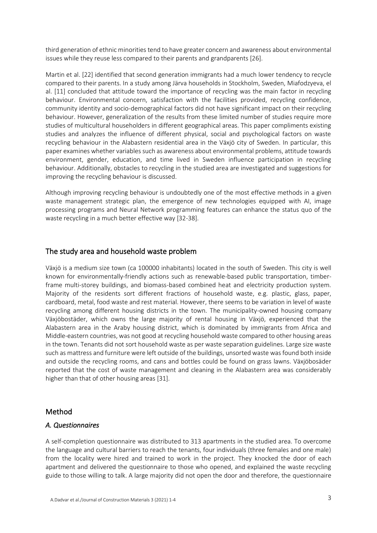third generation of ethnic minorities tend to have greater concern and awareness about environmental issues while they reuse less compared to their parents and grandparents [26].

Martin et al. [22] identified that second generation immigrants had a much lower tendency to recycle compared to their parents. In a study among Järva households in Stockholm, Sweden, Miafodzyeva, el al. [11] concluded that attitude toward the importance of recycling was the main factor in recycling behaviour. Environmental concern, satisfaction with the facilities provided, recycling confidence, community identity and socio-demographical factors did not have significant impact on their recycling behaviour. However, generalization of the results from these limited number of studies require more studies of multicultural householders in different geographical areas. This paper compliments existing studies and analyzes the influence of different physical, social and psychological factors on waste recycling behaviour in the Alabastern residential area in the Växjö city of Sweden. In particular, this paper examines whether variables such as awareness about environmental problems, attitude towards environment, gender, education, and time lived in Sweden influence participation in recycling behaviour. Additionally, obstacles to recycling in the studied area are investigated and suggestions for improving the recycling behaviour is discussed.

Although improving recycling behaviour is undoubtedly one of the most effective methods in a given waste management strategic plan, the emergence of new technologies equipped with AI, image processing programs and Neural Network programming features can enhance the status quo of the waste recycling in a much better effective way [32-38].

#### The study area and household waste problem

Växjö is a medium size town (ca 100000 inhabitants) located in the south of Sweden. This city is well known for environmentally-friendly actions such as renewable-based public transportation, timberframe multi-storey buildings, and biomass-based combined heat and electricity production system. Majority of the residents sort different fractions of household waste, e.g. plastic, glass, paper, cardboard, metal, food waste and rest material. However, there seems to be variation in level of waste recycling among different housing districts in the town. The municipality-owned housing company Växjöbostäder, which owns the large majority of rental housing in Växjö, experienced that the Alabastern area in the Araby housing district, which is dominated by immigrants from Africa and Middle-eastern countries, was not good at recycling household waste compared to other housing areas in the town. Tenants did not sort household waste as per waste separation guidelines. Large size waste such as mattress and furniture were left outside of the buildings, unsorted waste was found both inside and outside the recycling rooms, and cans and bottles could be found on grass lawns. Växjöbosäder reported that the cost of waste management and cleaning in the Alabastern area was considerably higher than that of other housing areas [31].

#### Method

#### *A. Questionnaires*

A self-completion questionnaire was distributed to 313 apartments in the studied area. To overcome the language and cultural barriers to reach the tenants, four individuals (three females and one male) from the locality were hired and trained to work in the project. They knocked the door of each apartment and delivered the questionnaire to those who opened, and explained the waste recycling guide to those willing to talk. A large majority did not open the door and therefore, the questionnaire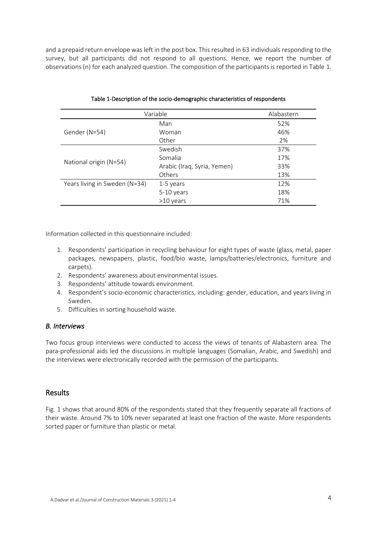and a prepaid return envelope was left in the post box. This resulted in 63 individuals responding to the survey, but all participants did not respond to all questions. Hence, we report the number of observations (n) for each analyzed question. The composition of the participants is reported in Table 1.

| Variable                      | Alabastern                  |     |
|-------------------------------|-----------------------------|-----|
|                               | Man                         | 52% |
| Gender (N=54)                 | Woman                       | 46% |
|                               | Other                       | 2%  |
|                               | Swedish                     | 37% |
| National origin (N=54)        | Somalia                     | 17% |
|                               | Arabic (Iraq, Syria, Yemen) | 33% |
|                               | <b>Others</b>               | 13% |
| Years living in Sweden (N=34) | 1-5 years                   | 12% |
|                               | 5-10 years                  | 18% |
|                               | >10 years                   | 71% |

|  | Table 1-Description of the socio-demographic characteristics of respondents |  |  |  |  |
|--|-----------------------------------------------------------------------------|--|--|--|--|
|--|-----------------------------------------------------------------------------|--|--|--|--|

Information collected in this questionnaire included:

- 1. Respondents' participation in recycling behaviour for eight types of waste (glass, metal, paper packages, newspapers, plastic, food/bio waste, lamps/batteries/electronics, furniture and carpets).
- 2. Respondents' awareness about environmental issues.
- 3. Respondents' attitude towards environment.
- 4. Respondent's socio-economic characteristics, including: gender, education, and years living in Sweden.
- 5. Difficulties in sorting household waste.

#### *B. Interviews*

Two focus group interviews were conducted to access the views of tenants of Alabastern area. The para-professional aids led the discussions in multiple languages (Somalian, Arabic, and Swedish) and the interviews were electronically recorded with the permission of the participants.

## Results

Fig. 1 shows that around 80% of the respondents stated that they frequently separate all fractions of their waste. Around 7% to 10% never separated at least one fraction of the waste. More respondents sorted paper or furniture than plastic or metal.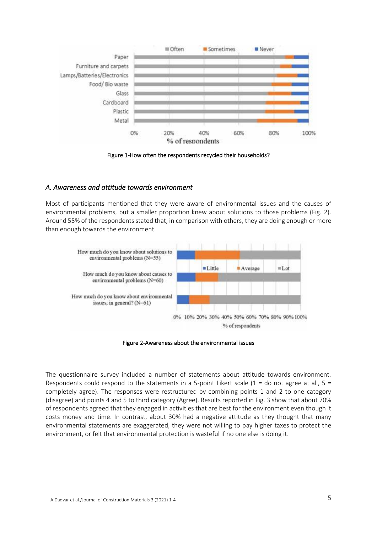

Figure 1-How often the respondents recycled their households?

#### *A. Awareness and attitude towards environment*

Most of participants mentioned that they were aware of environmental issues and the causes of environmental problems, but a smaller proportion knew about solutions to those problems (Fig. 2). Around 55% of the respondents stated that, in comparison with others, they are doing enough or more than enough towards the environment.



Figure 2-Awareness about the environmental issues

The questionnaire survey included a number of statements about attitude towards environment. Respondents could respond to the statements in a 5-point Likert scale ( $1 =$  do not agree at all,  $5 =$ completely agree). The responses were restructured by combining points 1 and 2 to one category (disagree) and points 4 and 5 to third category (Agree). Results reported in Fig. 3 show that about 70% of respondents agreed that they engaged in activities that are best for the environment even though it costs money and time. In contrast, about 30% had a negative attitude as they thought that many environmental statements are exaggerated, they were not willing to pay higher taxes to protect the environment, or felt that environmental protection is wasteful if no one else is doing it.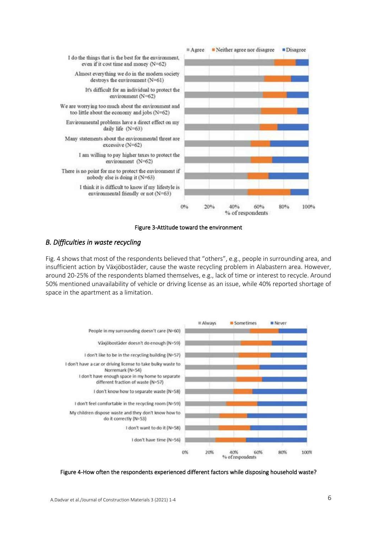

#### Figure 3-Attitude toward the environment

#### *B. Difficulties in waste recycling*

Fig. 4 shows that most of the respondents believed that "others", e.g., people in surrounding area, and insufficient action by Växjöbostäder, cause the waste recycling problem in Alabastern area. However, around 20-25% of the respondents blamed themselves, e.g., lack of time or interest to recycle. Around 50% mentioned unavailability of vehicle or driving license as an issue, while 40% reported shortage of space in the apartment as a limitation.



#### Figure 4-How often the respondents experienced different factors while disposing household waste?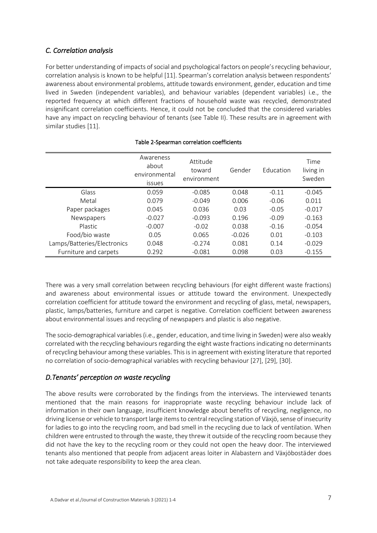# *C. Correlation analysis*

For better understanding of impacts of social and psychological factors on people's recycling behaviour, correlation analysis is known to be helpful [11]. Spearman's correlation analysis between respondents' awareness about environmental problems, attitude towards environment, gender, education and time lived in Sweden (independent variables), and behaviour variables (dependent variables) i.e., the reported frequency at which different fractions of household waste was recycled, demonstrated insignificant correlation coefficients. Hence, it could not be concluded that the considered variables have any impact on recycling behaviour of tenants (see Table II). These results are in agreement with similar studies [11].

|                             | Awareness<br>about<br>environmental<br>issues | Attitude<br>toward<br>environment | Gender   | Education | Time<br>living in<br>Sweden |
|-----------------------------|-----------------------------------------------|-----------------------------------|----------|-----------|-----------------------------|
| Glass                       | 0.059                                         | $-0.085$                          | 0.048    | $-0.11$   | $-0.045$                    |
| Metal                       | 0.079                                         | $-0.049$                          | 0.006    | $-0.06$   | 0.011                       |
| Paper packages              | 0.045                                         | 0.036                             | 0.03     | $-0.05$   | $-0.017$                    |
| Newspapers                  | $-0.027$                                      | $-0.093$                          | 0.196    | $-0.09$   | $-0.163$                    |
| Plastic                     | $-0.007$                                      | $-0.02$                           | 0.038    | $-0.16$   | $-0.054$                    |
| Food/bio waste              | 0.05                                          | 0.065                             | $-0.026$ | 0.01      | $-0.103$                    |
| Lamps/Batteries/Electronics | 0.048                                         | $-0.274$                          | 0.081    | 0.14      | $-0.029$                    |
| Furniture and carpets       | 0.292                                         | $-0.081$                          | 0.098    | 0.03      | $-0.155$                    |

#### Table 2-Spearman correlation coefficients

There was a very small correlation between recycling behaviours (for eight different waste fractions) and awareness about environmental issues or attitude toward the environment. Unexpectedly correlation coefficient for attitude toward the environment and recycling of glass, metal, newspapers, plastic, lamps/batteries, furniture and carpet is negative. Correlation coefficient between awareness about environmental issues and recycling of newspapers and plastic is also negative.

The socio-demographical variables (i.e., gender, education, and time living in Sweden) were also weakly correlated with the recycling behaviours regarding the eight waste fractions indicating no determinants of recycling behaviour among these variables. This is in agreement with existing literature that reported no correlation of socio-demographical variables with recycling behaviour [27], [29], [30].

## *D.Tenants' perception on waste recycling*

The above results were corroborated by the findings from the interviews. The interviewed tenants mentioned that the main reasons for inappropriate waste recycling behaviour include lack of information in their own language, insufficient knowledge about benefits of recycling, negligence, no driving license or vehicle to transport large items to central recycling station of Växjö, sense of insecurity for ladies to go into the recycling room, and bad smell in the recycling due to lack of ventilation. When children were entrusted to through the waste, they threw it outside of the recycling room because they did not have the key to the recycling room or they could not open the heavy door. The interviewed tenants also mentioned that people from adjacent areas loiter in Alabastern and Växjöbostäder does not take adequate responsibility to keep the area clean.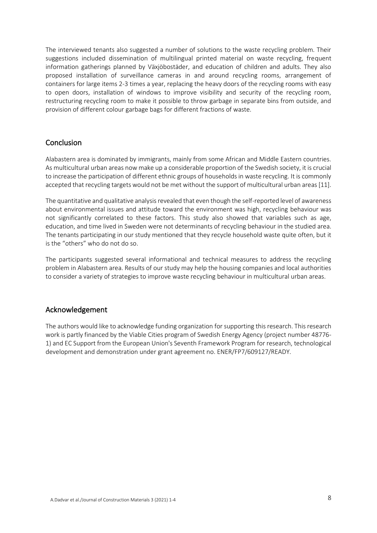The interviewed tenants also suggested a number of solutions to the waste recycling problem. Their suggestions included dissemination of multilingual printed material on waste recycling, frequent information gatherings planned by Växjöbostäder, and education of children and adults. They also proposed installation of surveillance cameras in and around recycling rooms, arrangement of containers for large items 2-3 times a year, replacing the heavy doors of the recycling rooms with easy to open doors, installation of windows to improve visibility and security of the recycling room, restructuring recycling room to make it possible to throw garbage in separate bins from outside, and provision of different colour garbage bags for different fractions of waste.

## **Conclusion**

Alabastern area is dominated by immigrants, mainly from some African and Middle Eastern countries. As multicultural urban areas now make up a considerable proportion of the Swedish society, it is crucial to increase the participation of different ethnic groups of households in waste recycling. It is commonly accepted that recycling targets would not be met without the support of multicultural urban areas [11].

The quantitative and qualitative analysis revealed that even though the self-reported level of awareness about environmental issues and attitude toward the environment was high, recycling behaviour was not significantly correlated to these factors. This study also showed that variables such as age, education, and time lived in Sweden were not determinants of recycling behaviour in the studied area. The tenants participating in our study mentioned that they recycle household waste quite often, but it is the "others" who do not do so.

The participants suggested several informational and technical measures to address the recycling problem in Alabastern area. Results of our study may help the housing companies and local authorities to consider a variety of strategies to improve waste recycling behaviour in multicultural urban areas.

#### Acknowledgement

The authors would like to acknowledge funding organization for supporting this research. This research work is partly financed by the Viable Cities program of Swedish Energy Agency (project number 48776- 1) and EC Support from the European Union's Seventh Framework Program for research, technological development and demonstration under grant agreement no. ENER/FP7/609127/READY.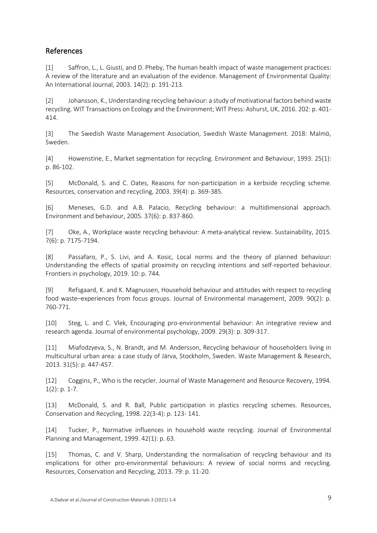# References

[1] Saffron, L., L. Giusti, and D. Pheby, The human health impact of waste management practices: A review of the literature and an evaluation of the evidence. Management of Environmental Quality: An International Journal, 2003. 14(2): p. 191-213.

[2] Johansson, K., Understanding recycling behaviour: a study of motivational factors behind waste recycling. WIT Transactions on Ecology and the Environment; WIT Press: Ashurst, UK, 2016. 202: p. 401- 414.

[3] The Swedish Waste Management Association, Swedish Waste Management. 2018: Malmö, Sweden.

[4] Howenstine, E., Market segmentation for recycling. Environment and Behaviour, 1993. 25(1): p. 86-102.

[5] McDonald, S. and C. Oates, Reasons for non-participation in a kerbside recycling scheme. Resources, conservation and recycling, 2003. 39(4): p. 369-385.

[6] Meneses, G.D. and A.B. Palacio, Recycling behaviour: a multidimensional approach. Environment and behaviour, 2005. 37(6): p. 837-860.

[7] Oke, A., Workplace waste recycling behaviour: A meta-analytical review. Sustainability, 2015. 7(6): p. 7175-7194.

[8] Passafaro, P., S. Livi, and A. Kosic, Local norms and the theory of planned behaviour: Understanding the effects of spatial proximity on recycling intentions and self-reported behaviour. Frontiers in psychology, 2019. 10: p. 744.

[9] Refsgaard, K. and K. Magnussen, Household behaviour and attitudes with respect to recycling food waste–experiences from focus groups. Journal of Environmental management, 2009. 90(2): p. 760-771.

[10] Steg, L. and C. Vlek, Encouraging pro-environmental behaviour: An integrative review and research agenda. Journal of environmental psychology, 2009. 29(3): p. 309-317.

[11] Miafodzyeva, S., N. Brandt, and M. Andersson, Recycling behaviour of householders living in multicultural urban area: a case study of Järva, Stockholm, Sweden. Waste Management & Research, 2013. 31(5): p. 447-457.

[12] Coggins, P., Who is the recycler. Journal of Waste Management and Resource Recovery, 1994.  $1(2)$ : p. 1-7.

[13] McDonald, S. and R. Ball, Public participation in plastics recycling schemes. Resources, Conservation and Recycling, 1998. 22(3-4): p. 123- 141.

[14] Tucker, P., Normative influences in household waste recycling. Journal of Environmental Planning and Management, 1999. 42(1): p. 63.

[15] Thomas, C. and V. Sharp, Understanding the normalisation of recycling behaviour and its implications for other pro-environmental behaviours: A review of social norms and recycling. Resources, Conservation and Recycling, 2013. 79: p. 11-20.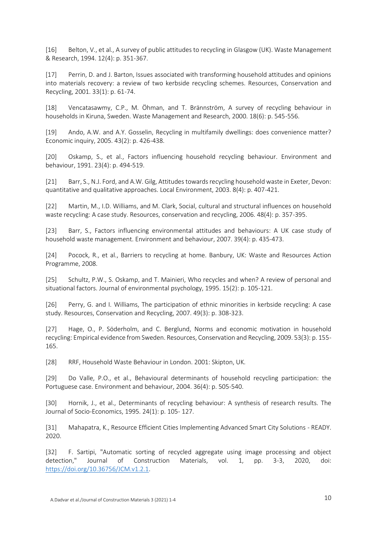[16] Belton, V., et al., A survey of public attitudes to recycling in Glasgow (UK). Waste Management & Research, 1994. 12(4): p. 351-367.

[17] Perrin, D. and J. Barton, Issues associated with transforming household attitudes and opinions into materials recovery: a review of two kerbside recycling schemes. Resources, Conservation and Recycling, 2001. 33(1): p. 61-74.

[18] Vencatasawmy, C.P., M. Öhman, and T. Brännström, A survey of recycling behaviour in households in Kiruna, Sweden. Waste Management and Research, 2000. 18(6): p. 545-556.

[19] Ando, A.W. and A.Y. Gosselin, Recycling in multifamily dwellings: does convenience matter? Economic inquiry, 2005. 43(2): p. 426-438.

[20] Oskamp, S., et al., Factors influencing household recycling behaviour. Environment and behaviour, 1991. 23(4): p. 494-519.

[21] Barr, S., N.J. Ford, and A.W. Gilg, Attitudes towards recycling household waste in Exeter, Devon: quantitative and qualitative approaches. Local Environment, 2003. 8(4): p. 407-421.

[22] Martin, M., I.D. Williams, and M. Clark, Social, cultural and structural influences on household waste recycling: A case study. Resources, conservation and recycling, 2006. 48(4): p. 357-395.

[23] Barr, S., Factors influencing environmental attitudes and behaviours: A UK case study of household waste management. Environment and behaviour, 2007. 39(4): p. 435-473.

[24] Pocock, R., et al., Barriers to recycling at home. Banbury, UK: Waste and Resources Action Programme, 2008.

[25] Schultz, P.W., S. Oskamp, and T. Mainieri, Who recycles and when? A review of personal and situational factors. Journal of environmental psychology, 1995. 15(2): p. 105-121.

[26] Perry, G. and I. Williams, The participation of ethnic minorities in kerbside recycling: A case study. Resources, Conservation and Recycling, 2007. 49(3): p. 308-323.

[27] Hage, O., P. Söderholm, and C. Berglund, Norms and economic motivation in household recycling: Empirical evidence from Sweden. Resources, Conservation and Recycling, 2009. 53(3): p. 155- 165.

[28] RRF, Household Waste Behaviour in London. 2001: Skipton, UK.

[29] Do Valle, P.O., et al., Behavioural determinants of household recycling participation: the Portuguese case. Environment and behaviour, 2004. 36(4): p. 505-540.

[30] Hornik, J., et al., Determinants of recycling behaviour: A synthesis of research results. The Journal of Socio-Economics, 1995. 24(1): p. 105- 127.

[31] Mahapatra, K., Resource Efficient Cities Implementing Advanced Smart City Solutions - READY. 2020.

[32] F. Sartipi, "Automatic sorting of recycled aggregate using image processing and object detection," Journal of Construction Materials, vol. 1, pp. 3-3, 2020, doi: [https://doi.org/10.36756/JCM.v1.2.1.](https://doi.org/10.36756/JCM.v1.2.1)